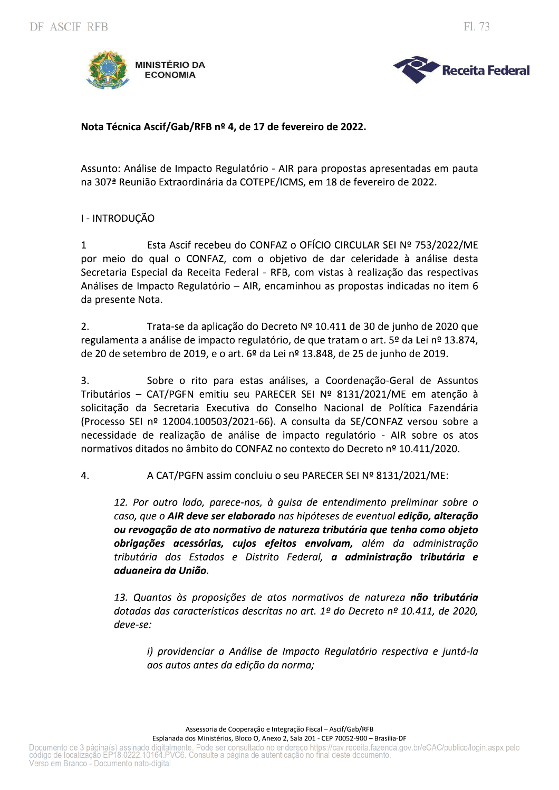

Fl. 73

# Nota Técnica Ascif/Gab/RFB nº 4, de 17 de fevereiro de 2022.

Assunto: Análise de Impacto Regulatório - AIR para propostas apresentadas em pauta na 307<sup>ª</sup> Reunião Extraordinária da COTEPE/ICMS, em 18 de fevereiro de 2022.

### I - INTRODUCÃO

Esta Ascif recebeu do CONFAZ o OFÍCIO CIRCULAR SEI Nº 753/2022/ME  $\mathbf{1}$ por meio do qual o CONFAZ, com o objetivo de dar celeridade à análise desta Secretaria Especial da Receita Federal - RFB, com vistas à realização das respectivas Análises de Impacto Regulatório - AIR, encaminhou as propostas indicadas no item 6 da presente Nota.

 $2.$ Trata-se da aplicação do Decreto Nº 10.411 de 30 de junho de 2020 que regulamenta a análise de impacto regulatório, de que tratam o art. 5º da Lei nº 13.874, de 20 de setembro de 2019, e o art. 6º da Lei nº 13.848, de 25 de junho de 2019.

3. Sobre o rito para estas análises, a Coordenação-Geral de Assuntos Tributários - CAT/PGFN emitiu seu PARECER SEI Nº 8131/2021/ME em atenção à solicitação da Secretaria Executiva do Conselho Nacional de Política Fazendária (Processo SEI nº 12004.100503/2021-66). A consulta da SE/CONFAZ versou sobre a necessidade de realização de análise de impacto regulatório - AIR sobre os atos normativos ditados no âmbito do CONFAZ no contexto do Decreto nº 10.411/2020.

 $\overline{4}$ . A CAT/PGFN assim concluiu o seu PARECER SEI Nº 8131/2021/ME:

12. Por outro lado, parece-nos, à quisa de entendimento preliminar sobre o caso, que o AIR deve ser elaborado nas hipóteses de eventual edição, alteração ou revogação de ato normativo de natureza tributária que tenha como objeto obrigações acessórias, cujos efeitos envolvam, além da administração tributária dos Estados e Distrito Federal, a administração tributária e aduaneira da União.

13. Quantos às proposições de atos normativos de natureza não tributária dotadas das características descritas no art. 1º do Decreto nº 10.411, de 2020,  $deve-se$ :

i) providenciar a Análise de Impacto Regulatório respectiva e juntá-la aos autos antes da edição da norma;

Assessoria de Cooperação e Integração Fiscal - Ascif/Gab/RFB

Esplanada dos Ministérios, Bloco O, Anexo 2, Sala 201 - CEP 70052-900 - Brasília-DF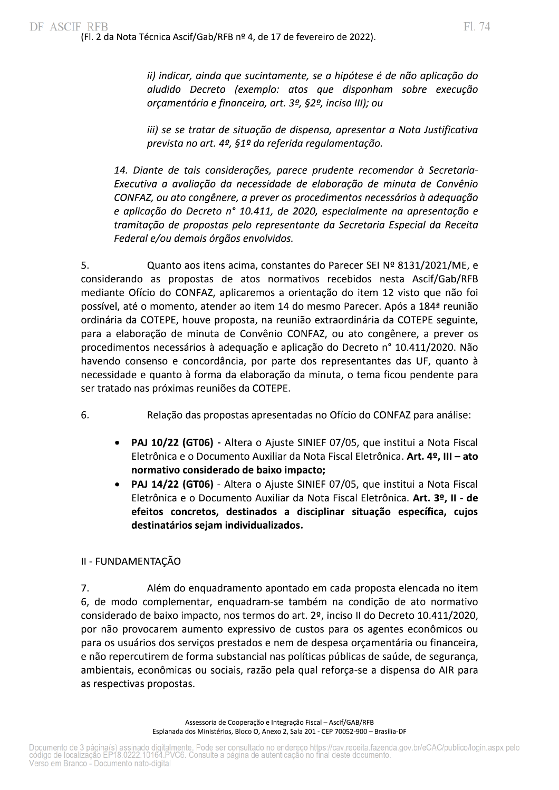ii) indicar, ainda que sucintamente, se a hipótese é de não aplicação do aludido Decreto (exemplo: atos que disponham sobre execução orçamentária e financeira, art. 3º, §2º, inciso III); ou

iii) se se tratar de situação de dispensa, apresentar a Nota Justificativa prevista no art. 4º, §1º da referida regulamentação.

14. Diante de tais considerações, parece prudente recomendar à Secretaria-Executiva a avaliação da necessidade de elaboração de minuta de Convênio CONFAZ, ou ato congênere, a prever os procedimentos necessários à adequação e aplicação do Decreto nº 10.411, de 2020, especialmente na apresentação e tramitação de propostas pelo representante da Secretaria Especial da Receita Federal e/ou demais órgãos envolvidos.

5. Quanto aos itens acima, constantes do Parecer SEI Nº 8131/2021/ME, e considerando as propostas de atos normativos recebidos nesta Ascif/Gab/RFB mediante Ofício do CONFAZ, aplicaremos a orientação do item 12 visto que não foi possível, até o momento, atender ao item 14 do mesmo Parecer. Após a 184ª reunião ordinária da COTEPE, houve proposta, na reunião extraordinária da COTEPE seguinte, para a elaboração de minuta de Convênio CONFAZ, ou ato congênere, a prever os procedimentos necessários à adequação e aplicação do Decreto nº 10.411/2020. Não havendo consenso e concordância, por parte dos representantes das UF, quanto à necessidade e quanto à forma da elaboração da minuta, o tema ficou pendente para ser tratado nas próximas reuniões da COTEPE.

- 6. Relação das propostas apresentadas no Ofício do CONFAZ para análise:
	- $\bullet$ PAJ 10/22 (GT06) - Altera o Ajuste SINIEF 07/05, que institui a Nota Fiscal Eletrônica e o Documento Auxiliar da Nota Fiscal Eletrônica. Art. 4º, III - ato normativo considerado de baixo impacto;
	- PAJ 14/22 (GT06) Altera o Ajuste SINIEF 07/05, que institui a Nota Fiscal Eletrônica e o Documento Auxiliar da Nota Fiscal Eletrônica. Art. 3º, II - de efeitos concretos, destinados a disciplinar situação específica, cujos destinatários sejam individualizados.

# II - FUNDAMENTAÇÃO

 $7<sub>1</sub>$ Além do enquadramento apontado em cada proposta elencada no item 6, de modo complementar, enquadram-se também na condição de ato normativo considerado de baixo impacto, nos termos do art. 2º, inciso II do Decreto 10.411/2020, por não provocarem aumento expressivo de custos para os agentes econômicos ou para os usuários dos serviços prestados e nem de despesa orçamentária ou financeira, e não repercutirem de forma substancial nas políticas públicas de saúde, de segurança, ambientais, econômicas ou sociais, razão pela qual reforça-se a dispensa do AIR para as respectivas propostas.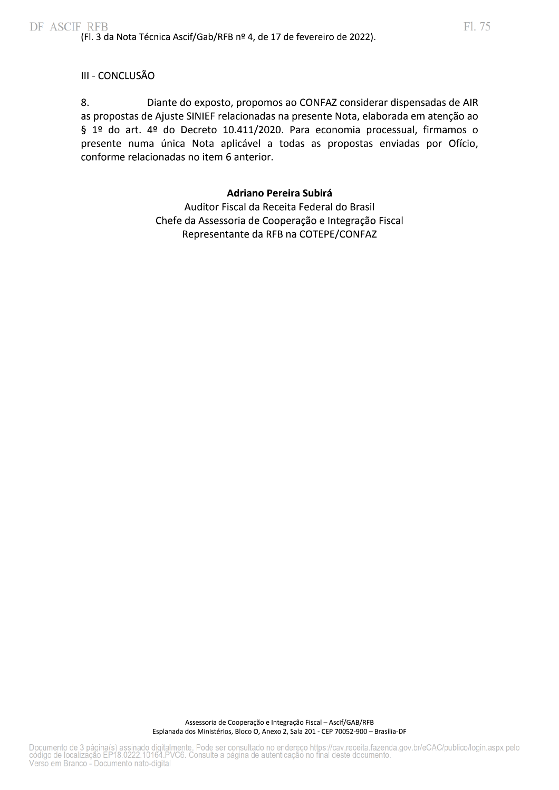# III - CONCLUSÃO

8. Diante do exposto, propomos ao CONFAZ considerar dispensadas de AIR as propostas de Ajuste SINIEF relacionadas na presente Nota, elaborada em atenção ao § 1º do art. 4º do Decreto 10.411/2020. Para economia processual, firmamos o presente numa única Nota aplicável a todas as propostas enviadas por Ofício, conforme relacionadas no item 6 anterior.

#### **Adriano Pereira Subirá**

Auditor Fiscal da Receita Federal do Brasil Chefe da Assessoria de Cooperação e Integração Fiscal Representante da RFB na COTEPE/CONFAZ

Assessoria de Cooperação e Integração Fiscal - Ascif/GAB/RFB Esplanada dos Ministérios, Bloco O, Anexo 2, Sala 201 - CEP 70052-900 - Brasília-DF